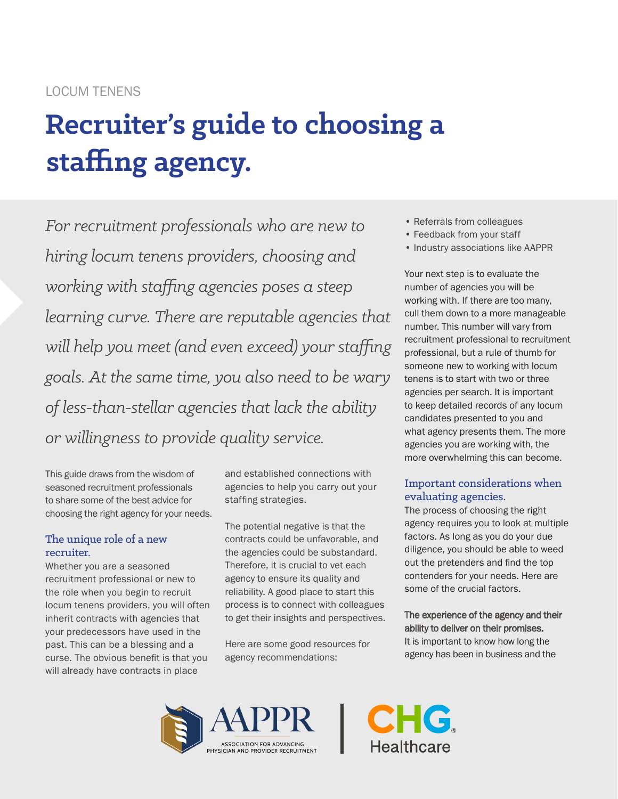# LOCUM TENENS

# **Recruiter's guide to choosing a staffing agency.**

*For recruitment professionals who are new to hiring locum tenens providers, choosing and working with staffing agencies poses a steep learning curve. There are reputable agencies that will help you meet (and even exceed) your staffing goals. At the same time, you also need to be wary of less-than-stellar agencies that lack the ability or willingness to provide quality service.*

This guide draws from the wisdom of seasoned recruitment professionals to share some of the best advice for choosing the right agency for your needs.

# The unique role of a new recruiter.

Whether you are a seasoned recruitment professional or new to the role when you begin to recruit locum tenens providers, you will often inherit contracts with agencies that your predecessors have used in the past. This can be a blessing and a curse. The obvious benefit is that you will already have contracts in place

and established connections with agencies to help you carry out your staffing strategies.

The potential negative is that the contracts could be unfavorable, and the agencies could be substandard. Therefore, it is crucial to vet each agency to ensure its quality and reliability. A good place to start this process is to connect with colleagues to get their insights and perspectives.

Here are some good resources for agency recommendations:

- Referrals from colleagues
- Feedback from your staff
- Industry associations like AAPPR

Your next step is to evaluate the number of agencies you will be working with. If there are too many, cull them down to a more manageable number. This number will vary from recruitment professional to recruitment professional, but a rule of thumb for someone new to working with locum tenens is to start with two or three agencies per search. It is important to keep detailed records of any locum candidates presented to you and what agency presents them. The more agencies you are working with, the more overwhelming this can become.

# Important considerations when evaluating agencies.

The process of choosing the right agency requires you to look at multiple factors. As long as you do your due diligence, you should be able to weed out the pretenders and find the top contenders for your needs. Here are some of the crucial factors.

### The experience of the agency and their ability to deliver on their promises. It is important to know how long the agency has been in business and the



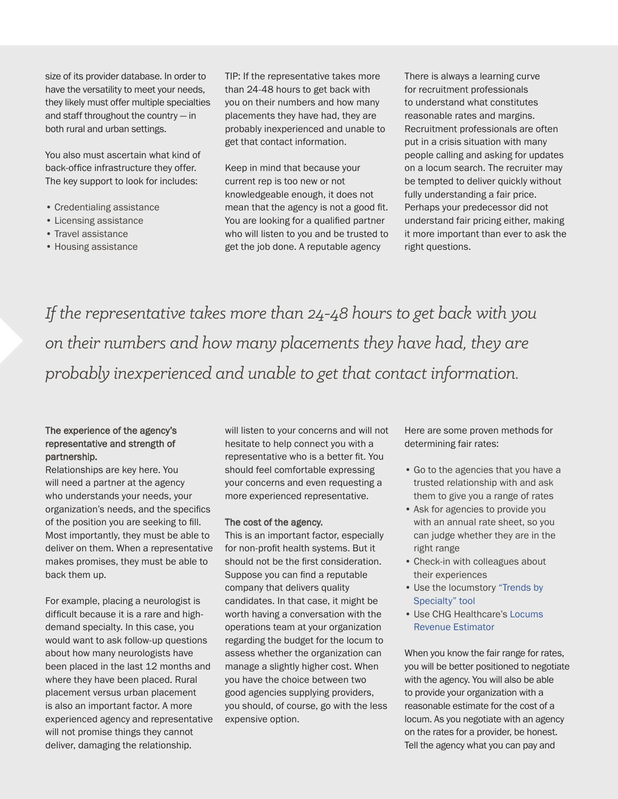size of its provider database. In order to have the versatility to meet your needs, they likely must offer multiple specialties and staff throughout the country — in both rural and urban settings.

You also must ascertain what kind of back-office infrastructure they offer. The key support to look for includes:

- Credentialing assistance
- Licensing assistance
- Travel assistance
- Housing assistance

TIP: If the representative takes more than 24-48 hours to get back with you on their numbers and how many placements they have had, they are probably inexperienced and unable to get that contact information.

Keep in mind that because your current rep is too new or not knowledgeable enough, it does not mean that the agency is not a good fit. You are looking for a qualified partner who will listen to you and be trusted to get the job done. A reputable agency

There is always a learning curve for recruitment professionals to understand what constitutes reasonable rates and margins. Recruitment professionals are often put in a crisis situation with many people calling and asking for updates on a locum search. The recruiter may be tempted to deliver quickly without fully understanding a fair price. Perhaps your predecessor did not understand fair pricing either, making it more important than ever to ask the right questions.

*If the representative takes more than 24-48 hours to get back with you on their numbers and how many placements they have had, they are probably inexperienced and unable to get that contact information.*

#### The experience of the agency's representative and strength of partnership.

Relationships are key here. You will need a partner at the agency who understands your needs, your organization's needs, and the specifics of the position you are seeking to fill. Most importantly, they must be able to deliver on them. When a representative makes promises, they must be able to back them up.

For example, placing a neurologist is difficult because it is a rare and highdemand specialty. In this case, you would want to ask follow-up questions about how many neurologists have been placed in the last 12 months and where they have been placed. Rural placement versus urban placement is also an important factor. A more experienced agency and representative will not promise things they cannot deliver, damaging the relationship.

will listen to your concerns and will not hesitate to help connect you with a representative who is a better fit. You should feel comfortable expressing your concerns and even requesting a more experienced representative.

#### The cost of the agency.

This is an important factor, especially for non-profit health systems. But it should not be the first consideration. Suppose you can find a reputable company that delivers quality candidates. In that case, it might be worth having a conversation with the operations team at your organization regarding the budget for the locum to assess whether the organization can manage a slightly higher cost. When you have the choice between two good agencies supplying providers, you should, of course, go with the less expensive option.

Here are some proven methods for determining fair rates:

- Go to the agencies that you have a trusted relationship with and ask them to give you a range of rates
- Ask for agencies to provide you with an annual rate sheet, so you can judge whether they are in the right range
- Check-in with colleagues about their experiences
- Use the locumstory ["Trends by](https://locumstory.com/trends)  [Specialty" tool](https://locumstory.com/trends)
- Use [CHG Healthcare's Locums](https://chghealthcare.com/locums-revenue-estimator)  [Revenue Estimator](https://chghealthcare.com/locums-revenue-estimator)

When you know the fair range for rates, you will be better positioned to negotiate with the agency. You will also be able to provide your organization with a reasonable estimate for the cost of a locum. As you negotiate with an agency on the rates for a provider, be honest. Tell the agency what you can pay and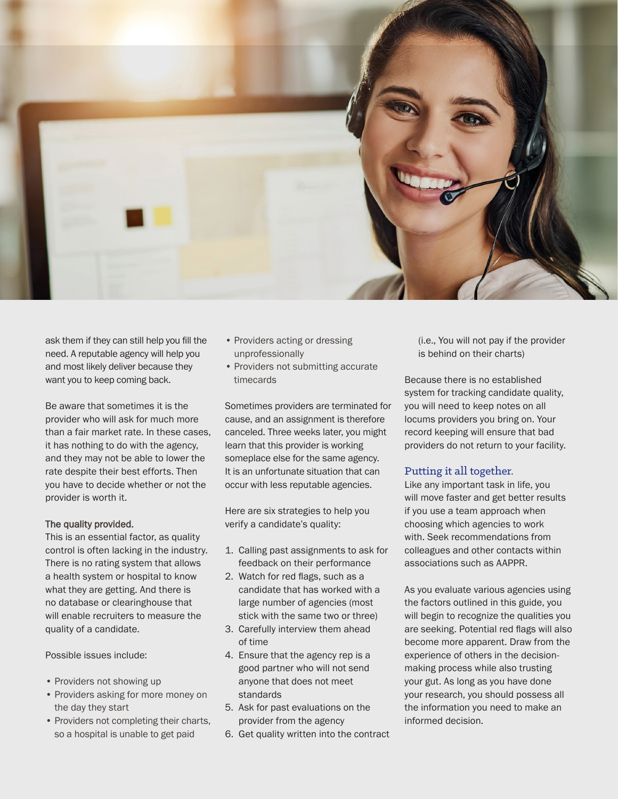

ask them if they can still help you fill the need. A reputable agency will help you and most likely deliver because they want you to keep coming back.

Be aware that sometimes it is the provider who will ask for much more than a fair market rate. In these cases, it has nothing to do with the agency, and they may not be able to lower the rate despite their best efforts. Then you have to decide whether or not the provider is worth it.

#### The quality provided.

This is an essential factor, as quality control is often lacking in the industry. There is no rating system that allows a health system or hospital to know what they are getting. And there is no database or clearinghouse that will enable recruiters to measure the quality of a candidate.

Possible issues include:

- Providers not showing up
- Providers asking for more money on the day they start
- Providers not completing their charts, so a hospital is unable to get paid
- Providers acting or dressing unprofessionally
- Providers not submitting accurate timecards

Sometimes providers are terminated for cause, and an assignment is therefore canceled. Three weeks later, you might learn that this provider is working someplace else for the same agency. It is an unfortunate situation that can occur with less reputable agencies.

Here are six strategies to help you verify a candidate's quality:

- 1. Calling past assignments to ask for feedback on their performance
- 2. Watch for red flags, such as a candidate that has worked with a large number of agencies (most stick with the same two or three)
- 3. Carefully interview them ahead of time
- 4. Ensure that the agency rep is a good partner who will not send anyone that does not meet standards
- 5. Ask for past evaluations on the provider from the agency
- 6. Get quality written into the contract

(i.e., You will not pay if the provider is behind on their charts)

Because there is no established system for tracking candidate quality, you will need to keep notes on all locums providers you bring on. Your record keeping will ensure that bad providers do not return to your facility.

#### Putting it all together.

Like any important task in life, you will move faster and get better results if you use a team approach when choosing which agencies to work with. Seek recommendations from colleagues and other contacts within associations such as AAPPR.

As you evaluate various agencies using the factors outlined in this guide, you will begin to recognize the qualities you are seeking. Potential red flags will also become more apparent. Draw from the experience of others in the decisionmaking process while also trusting your gut. As long as you have done your research, you should possess all the information you need to make an informed decision.